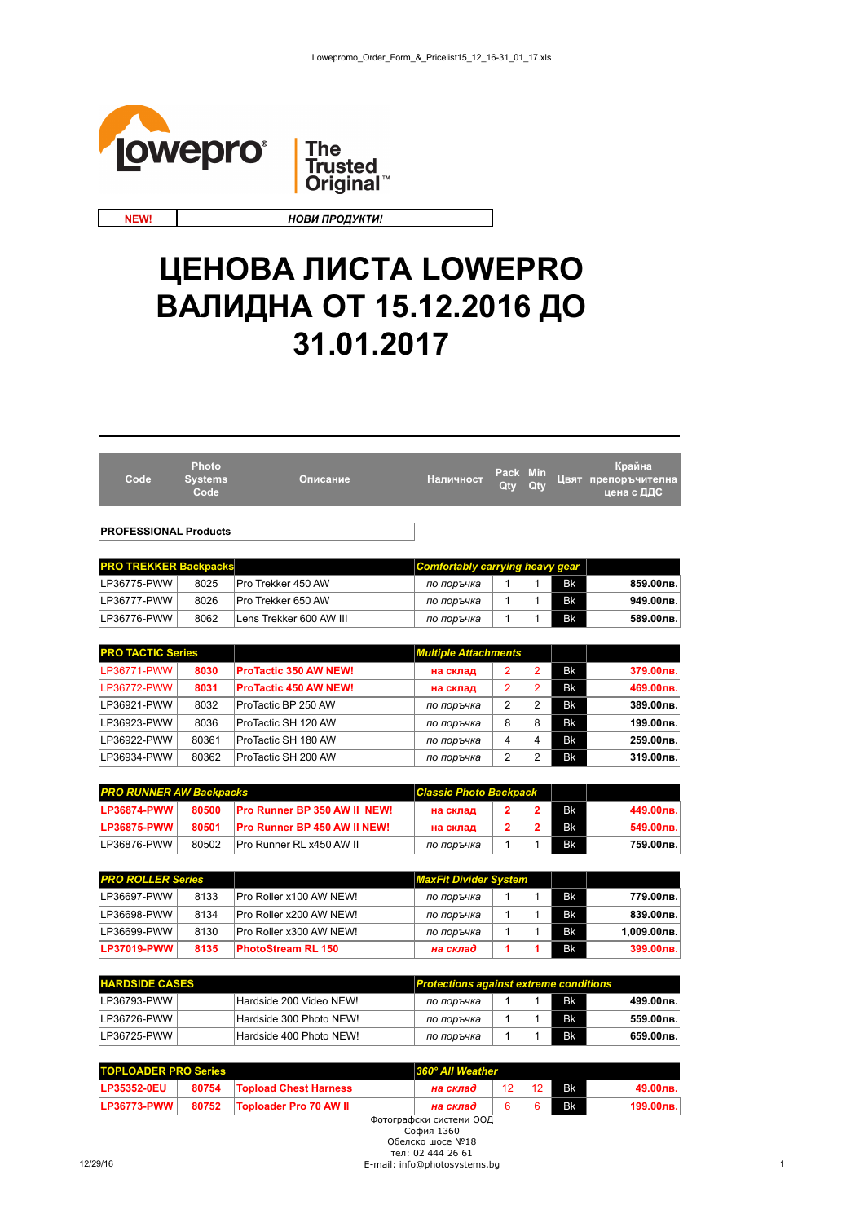



**NEW!**

*НОВИ ПРОДУКТИ!*

## **ЦЕНОВА ЛИСТА LOWEPRO ВАЛИДНА ОТ 15.12.2016 ДО 31.01.2017**

| Code                           | Photo<br><b>Systems</b><br>Code | Описание                                        | Наличност                                     | Pack Min<br>Qty | Qty            |           | Крайна<br>Цвят препоръчителна<br>цена с ДДС |
|--------------------------------|---------------------------------|-------------------------------------------------|-----------------------------------------------|-----------------|----------------|-----------|---------------------------------------------|
|                                |                                 |                                                 |                                               |                 |                |           |                                             |
| <b>PROFESSIONAL Products</b>   |                                 |                                                 |                                               |                 |                |           |                                             |
| <b>PRO TREKKER Backpacks</b>   |                                 |                                                 | <b>Comfortably carrying heavy gear</b>        |                 |                |           |                                             |
| LP36775-PWW                    | 8025                            | Pro Trekker 450 AW                              | по поръчка                                    | 1               | 1              | Bk        | 859.00лв.                                   |
| LP36777-PWW                    | 8026                            | Pro Trekker 650 AW                              | по поръчка                                    | 1               | 1              | Bk        | 949.00лв.                                   |
| LP36776-PWW                    | 8062                            | Lens Trekker 600 AW III                         | по поръчка                                    | 1               | 1              | Bk        | 589.00лв.                                   |
|                                |                                 |                                                 |                                               |                 |                |           |                                             |
| <b>PRO TACTIC Series</b>       |                                 |                                                 | <b>Multiple Attachments</b>                   |                 |                |           |                                             |
| LP36771-PWW                    | 8030                            | <b>ProTactic 350 AW NEW!</b>                    | на склад                                      | 2               | $\overline{2}$ | Bk        | 379.00лв.                                   |
| LP36772-PWW                    | 8031                            | <b>ProTactic 450 AW NEW!</b>                    | на склад                                      | $\overline{2}$  | $\overline{2}$ | Bk        | 469.00лв.                                   |
| LP36921-PWW                    | 8032                            | ProTactic BP 250 AW                             | по поръчка                                    | $\overline{2}$  | $\overline{2}$ | Bk        | 389.00лв.                                   |
| LP36923-PWW                    | 8036                            | ProTactic SH 120 AW                             | по поръчка                                    | 8               | 8              | Bk        | 199.00лв.                                   |
| LP36922-PWW                    | 80361                           | ProTactic SH 180 AW                             | по поръчка                                    | 4               | 4              | <b>Bk</b> | 259.00лв.                                   |
| LP36934-PWW                    | 80362                           | ProTactic SH 200 AW                             | по поръчка                                    | $\overline{2}$  | $\overline{2}$ | Bk        | 319.00лв.                                   |
|                                |                                 |                                                 |                                               |                 |                |           |                                             |
| <b>PRO RUNNER AW Backpacks</b> |                                 |                                                 | <b>Classic Photo Backpack</b>                 |                 |                |           |                                             |
| <b>LP36874-PWW</b>             | 80500                           | Pro Runner BP 350 AW II NEW!                    | на склад                                      | 2               | 2              | Bk        | 449.00лв.                                   |
| <b>LP36875-PWW</b>             | 80501                           | Pro Runner BP 450 AW II NEW!                    | на склад                                      | 2               | $\overline{2}$ | Bk        | 549.00лв.                                   |
| LP36876-PWW                    | 80502                           | Pro Runner RL x450 AW II                        | по поръчка                                    | 1               | 1              | Bk        | 759.00лв.                                   |
|                                |                                 |                                                 |                                               |                 |                |           |                                             |
| <b>PRO ROLLER Series</b>       |                                 |                                                 | MaxFit Divider System                         |                 |                |           |                                             |
| LP36697-PWW                    | 8133                            | Pro Roller x100 AW NEW!                         | по поръчка                                    | 1               | $\mathbf{1}$   | Bk        | 779.00лв.                                   |
| LP36698-PWW                    | 8134                            | Pro Roller x200 AW NEW!                         | по поръчка                                    | 1               | $\mathbf{1}$   | Bk        | 839.00лв.                                   |
| LP36699-PWW                    | 8130                            | Pro Roller x300 AW NEW!                         | по поръчка                                    | 1               | 1              | Bk        | 1,009.00лв.                                 |
| <b>LP37019-PWW</b>             | 8135                            | <b>PhotoStream RL 150</b>                       | на склад                                      | 1               | 1              | Bk        | 399.00лв.                                   |
|                                |                                 |                                                 |                                               |                 |                |           |                                             |
| <b>HARDSIDE CASES</b>          |                                 |                                                 | <b>Protections against extreme conditions</b> |                 |                |           |                                             |
| LP36793-PWW                    |                                 | Hardside 200 Video NEW!                         | по поръчка                                    | 1               | 1              | Bk        | 499.00лв.                                   |
| LP36726-PWW                    |                                 | Hardside 300 Photo NEW!                         | по поръчка                                    | 1               | 1              | Bk        | 559.00лв.                                   |
| LP36725-PWW                    |                                 | Hardside 400 Photo NEW!                         | по поръчка                                    | 1               | 1              | Bk        | 659.00лв.                                   |
|                                |                                 |                                                 |                                               |                 |                |           |                                             |
| <b>TOPLOADER PRO Series</b>    |                                 | <b>ID35352-0ELL ROZ54 Topload Chast Harnoss</b> | 360° All Weather<br>henvo eu                  |                 | 12   12        | <b>Rk</b> | 49.00 ne                                    |
|                                |                                 |                                                 |                                               |                 |                |           |                                             |

| <b>TOPLOADER PRO Series</b> |       | <b>360° All Weather</b>      |          |  |            |           |           |
|-----------------------------|-------|------------------------------|----------|--|------------|-----------|-----------|
| <b>LP35352-0EU</b>          | 80754 | <b>Topload Chest Harness</b> | на склад |  | $\sqrt{2}$ | <b>Bk</b> | 49.00лв.  |
| LP36773-PWW                 | 80752 | Toploader Pro 70 AW II       | на склад |  |            | <b>Bk</b> | 199.00лв. |
|                             |       |                              |          |  |            |           |           |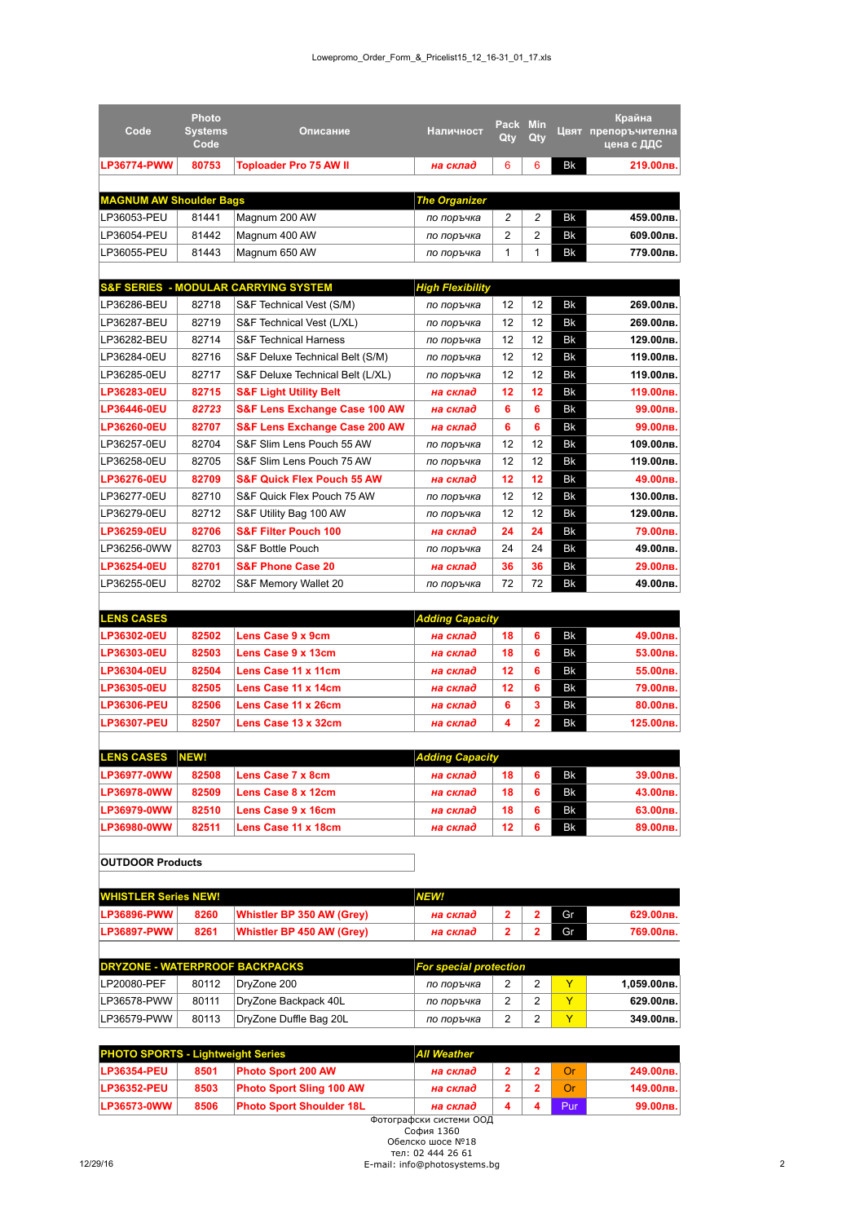| Code                                     | <b>Photo</b><br><b>Systems</b> | Описание                                        | Наличност               | Pack     | <b>Min</b>     |    | Крайна<br>Цвят препоръчителна                   |
|------------------------------------------|--------------------------------|-------------------------------------------------|-------------------------|----------|----------------|----|-------------------------------------------------|
|                                          | Code                           |                                                 |                         | Qty      | Qty            |    | цена с ДДС                                      |
| <b>LP36774-PWW</b>                       | 80753                          | <b>Toploader Pro 75 AW II</b>                   | на склад                | 6        | 6              | Bk | 219.00лв.                                       |
|                                          |                                |                                                 |                         |          |                |    |                                                 |
| <b>MAGNUM AW Shoulder Bags</b>           |                                |                                                 | <b>The Organizer</b>    |          |                |    |                                                 |
| LP36053-PEU                              | 81441                          | Magnum 200 AW                                   | по поръчка              | 2        | 2              | Bk | 459.00лв.                                       |
| LP36054-PEU                              | 81442                          | Magnum 400 AW                                   | по поръчка              | 2        | 2              | Bk | 609.00лв.                                       |
| LP36055-PEU                              | 81443                          | Magnum 650 AW                                   | по поръчка              | 1        | 1              | Bk | 779.00лв.                                       |
|                                          |                                |                                                 |                         |          |                |    |                                                 |
|                                          |                                | <b>S&amp;F SERIES - MODULAR CARRYING SYSTEM</b> | <b>High Flexibility</b> |          |                |    |                                                 |
| LP36286-BEU                              | 82718                          | S&F Technical Vest (S/M)                        | по поръчка              | 12       | 12             | Bk | 269.00лв.                                       |
| LP36287-BEU                              | 82719                          | S&F Technical Vest (L/XL)                       | по поръчка              | 12       | 12             | Bk | 269.00лв.                                       |
| LP36282-BEU                              | 82714                          | S&F Technical Harness                           | по поръчка              | 12       | 12             | Bk | 129.00лв.                                       |
| LP36284-0EU<br>LP36285-0EU               | 82716<br>82717                 | S&F Deluxe Technical Belt (S/M)                 | по поръчка              | 12<br>12 | 12<br>12       | Bk | 119.00лв.<br>119.00лв.                          |
| LP36283-0EU                              | 82715                          | S&F Deluxe Technical Belt (L/XL)                | по поръчка              | 12       | 12             | Bk | 119.00лв.                                       |
|                                          |                                | <b>S&amp;F Light Utility Belt</b>               | на склад                |          |                | Bk |                                                 |
| LP36446-0EU                              | 82723<br>82707                 | <b>S&amp;F Lens Exchange Case 100 AW</b>        | на склад                | 6        | 6              | Bk | 99.00лв.                                        |
| LP36260-0EU                              |                                | <b>S&amp;F Lens Exchange Case 200 AW</b>        | на склад                | 6        | 6              | Bk | 99.00лв.                                        |
| LP36257-0EU                              | 82704                          | S&F Slim Lens Pouch 55 AW                       | по поръчка              | 12       | 12             | Bk | 109.00лв.                                       |
| LP36258-0EU                              | 82705                          | S&F Slim Lens Pouch 75 AW                       | по поръчка              | 12       | 12             | Bk | 119.00лв.                                       |
| LP36276-0EU                              | 82709                          | <b>S&amp;F Quick Flex Pouch 55 AW</b>           | на склад                | 12       | 12             | Bk | 49.00лв.                                        |
| LP36277-0EU                              | 82710                          | S&F Quick Flex Pouch 75 AW                      | по поръчка              | 12       | 12             | Bk | 130.00лв.                                       |
| LP36279-0EU                              | 82712                          | S&F Utility Bag 100 AW                          | по поръчка              | 12       | 12             | Bk | 129.00лв.                                       |
| LP36259-0EU                              | 82706                          | <b>S&amp;F Filter Pouch 100</b>                 | на склад                | 24       | 24             | Bk | 79.00лв.                                        |
| LP36256-0WW                              | 82703                          | S&F Bottle Pouch                                | по поръчка              | 24       | 24             | Bk | 49.00лв.                                        |
| LP36254-0EU                              | 82701                          | <b>S&amp;F Phone Case 20</b>                    | на склад                | 36       | 36             | Bk | 29.00лв.                                        |
| LP36255-0EU                              | 82702                          | S&F Memory Wallet 20                            | по поръчка              | 72       | 72             | Bk | 49.00лв.                                        |
| <b>LENS CASES</b>                        |                                |                                                 | <b>Adding Capacity</b>  |          |                |    |                                                 |
|                                          |                                |                                                 |                         |          |                |    |                                                 |
|                                          |                                |                                                 |                         |          |                |    |                                                 |
| LP36302-0EU                              | 82502                          | Lens Case 9 x 9cm                               | на склад                | 18       | 6              | Bk | 49.00лв.                                        |
| LP36303-0EU                              | 82503                          | Lens Case 9 x 13cm                              | на склад                | 18       | 6              | Bk | 53.00лв.                                        |
| LP36304-0EU                              | 82504                          | Lens Case 11 x 11cm                             | на склад                | 12       | 6              | Bk | 55.00лв.                                        |
| LP36305-0EU                              | 82505                          | Lens Case 11 x 14cm                             | на склад                | 12       | 6              | Bk | 79.00лв.                                        |
| <b>LP36306-PEU</b>                       | 82506                          | Lens Case 11 x 26cm                             | на склад                | 6        | 3              | Bk | 80.00лв.                                        |
| <b>LP36307-PEU</b>                       | 82507                          | Lens Case 13 x 32cm                             | на склад                | 4        | $\overline{2}$ | Bk | 125.00лв.                                       |
|                                          |                                |                                                 |                         |          |                |    |                                                 |
| <b>LENS CASES</b>                        | <b>NEW!</b>                    |                                                 | <b>Adding Capacity</b>  |          |                |    |                                                 |
| LP36977-0WW                              | 82508                          | Lens Case 7 x 8cm                               | на склад                | 18       | 6              | Bk | 39.00лв.                                        |
| LP36978-0WW<br>LP36979-0WW               | 82509                          | Lens Case 8 x 12cm                              | на склад                | 18       | 6              | Bk | 43.00лв.                                        |
|                                          | 82510                          | Lens Case 9 x 16cm                              | на склад                | 18       | 6              | Bk | 63.00лв.                                        |
| LP36980-0WW                              | 82511                          | Lens Case 11 x 18cm                             | на склад                | 12       | 6              | Bk |                                                 |
| <b>OUTDOOR Products</b>                  |                                |                                                 |                         |          |                |    |                                                 |
|                                          |                                |                                                 |                         |          |                |    |                                                 |
| <b>WHISTLER Series NEW!</b>              |                                |                                                 | <b>NEW!</b>             |          |                |    |                                                 |
| <b>LP36896-PWW</b>                       | 8260                           | Whistler BP 350 AW (Grey)                       | на склад                | 2        | 2              | Gr |                                                 |
| LP36897-PWW                              | 8261                           | Whistler BP 450 AW (Grey)                       | на склад                | 2        | 2              | Gr | 769.00лв.                                       |
|                                          |                                |                                                 |                         |          |                |    |                                                 |
| DRYZONE - WATERPROOF BACKPACKS           |                                |                                                 | For special protection  |          |                |    |                                                 |
| LP20080-PEF                              | 80112                          | DryZone 200                                     | по поръчка              | 2        | 2              | Y  | 1,059.00лв.                                     |
| LP36578-PWW                              | 80111                          | DryZone Backpack 40L                            | по поръчка              | 2        | 2              | Y  | 629.00лв.                                       |
| LP36579-PWW                              | 80113                          | DryZone Duffle Bag 20L                          | по поръчка              | 2        | 2              | Y  |                                                 |
|                                          |                                |                                                 |                         |          |                |    | 349.00лв.                                       |
| <b>PHOTO SPORTS - Lightweight Series</b> |                                |                                                 | <b>All Weather</b>      |          |                |    |                                                 |
| <b>LP36354-PEU</b>                       | 8501                           | Photo Sport 200 AW                              | на склад                | 2        | 2              | Or |                                                 |
| LP36352-PEU                              | 8503                           | <b>Photo Sport Sling 100 AW</b>                 | на склад                | 2        | 2              | Or | 89.00лв.<br>629.00лв.<br>249.00лв.<br>149.00лв. |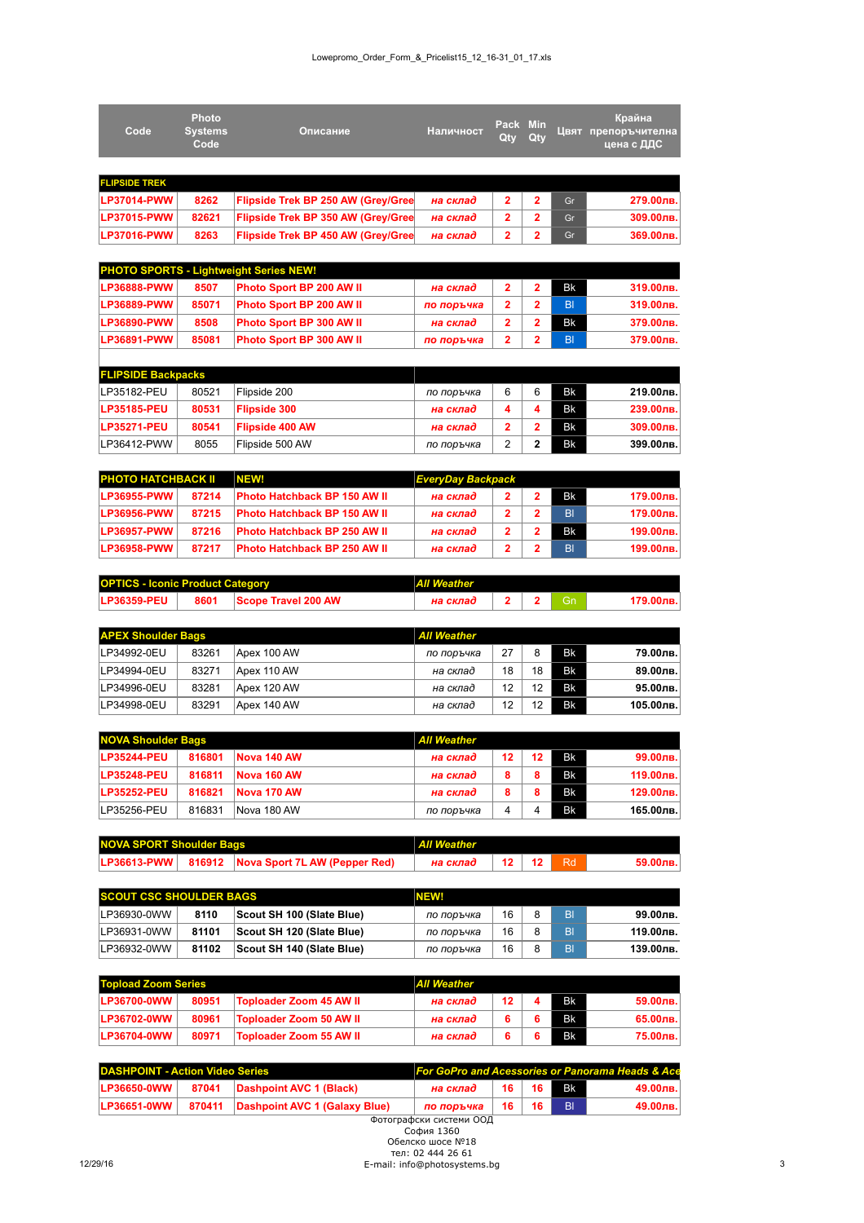| Code                 | <b>Photo</b><br><b>Systems</b><br>Code | Описание                                      | Наличност  | Pack Min<br>Qty | Qty            |                | Крайна<br>Цвят препоръчителна<br>цена с ДДС |
|----------------------|----------------------------------------|-----------------------------------------------|------------|-----------------|----------------|----------------|---------------------------------------------|
|                      |                                        |                                               |            |                 |                |                |                                             |
| <b>FLIPSIDE TREK</b> |                                        |                                               |            |                 |                |                |                                             |
| <b>LP37014-PWW</b>   | 8262                                   | Flipside Trek BP 250 AW (Grey/Gree            | на склад   | $\overline{2}$  | $\overline{2}$ | Gr             | 279.00лв.                                   |
| <b>LP37015-PWW</b>   | 82621                                  | Flipside Trek BP 350 AW (Grey/Gree            | на склад   | $\overline{2}$  | $\overline{2}$ | Gr             | 309.00лв.                                   |
| <b>LP37016-PWW</b>   | 8263                                   | Flipside Trek BP 450 AW (Grey/Gree            | на склад   | $\overline{2}$  | 2              | Gr             | 369.00лв.                                   |
|                      |                                        |                                               |            |                 |                |                |                                             |
|                      |                                        | <b>PHOTO SPORTS - Lightweight Series NEW!</b> |            |                 |                |                |                                             |
| <b>LP36888-PWW</b>   | 8507                                   | Photo Sport BP 200 AW II                      | на склад   | $\overline{2}$  | $\mathbf{2}$   | <b>Bk</b>      | 319.00лв.                                   |
| <b>LP36889-PWW</b>   | 85071                                  | Photo Sport BP 200 AW II                      | по поръчка | $\overline{2}$  | $\overline{2}$ | B <sub>l</sub> | 319.00лв.                                   |
| LP36890-PWW          | 8508                                   | Photo Sport BP 300 AW II                      | на склад   | $\overline{2}$  | 2              | <b>Bk</b>      | 379.00лв.                                   |
| <b>LP36891-PWW</b>   | 85081                                  | <b>Photo Sport BP 300 AW II</b>               | по поръчка | $\overline{2}$  | 2              | B <sub>l</sub> | 379.00лв.                                   |
|                      |                                        |                                               |            |                 |                |                |                                             |

| <b>FLIPSIDE Backpacks</b> |       |                        |            |   |           |           |
|---------------------------|-------|------------------------|------------|---|-----------|-----------|
| LP35182-PEU               | 80521 | Flipside 200           | по поръчка | 6 | <b>Bk</b> | 219.00лв. |
| <b>LP35185-PEU</b>        | 80531 | <b>Flipside 300</b>    | на склад   |   | <b>Bk</b> | 239.00лв. |
| <b>LP35271-PEU</b>        | 80541 | <b>Flipside 400 AW</b> | на склад   |   | <b>Bk</b> | 309.00лв. |
| LP36412-PWW               | 8055  | Flipside 500 AW        | по поръчка |   | <b>Bk</b> | 399.00лв. |

| <b>PHOTO HATCHBACK II</b> |       | NEW!                                |          | <b>EveryDay Backpack</b> |  |           |           |
|---------------------------|-------|-------------------------------------|----------|--------------------------|--|-----------|-----------|
| <b>ILP36955-PWW</b>       | 87214 | <b>Photo Hatchback BP 150 AW II</b> | на склад |                          |  | <b>Bk</b> | 179.00лв. |
| <b>LP36956-PWW</b>        | 87215 | <b>Photo Hatchback BP 150 AW II</b> | на склад |                          |  | BI        | 179.00лв. |
| <b>ILP36957-PWW</b>       | 87216 | <b>Photo Hatchback BP 250 AW II</b> | на склад |                          |  | <b>Bk</b> | 199.00лв. |
| <b>ILP36958-PWW</b>       | 87217 | <b>Photo Hatchback BP 250 AW II</b> | на склад |                          |  | BI        | 199.00лв. |

| <b>OPTICS - Iconic Product Category</b> |  | <b>All Weather</b>       |          |  |  |  |           |  |  |
|-----------------------------------------|--|--------------------------|----------|--|--|--|-----------|--|--|
| <b>LP36359-PEU</b>                      |  | 8601 Scope Travel 200 AW | на склад |  |  |  | 179.00лв. |  |  |

| <b>APEX Shoulder Bags</b> |       | <b>All Weather</b> |            |    |    |           |             |
|---------------------------|-------|--------------------|------------|----|----|-----------|-------------|
| LP34992-0EU               | 83261 | Apex 100 AW        | по поръчка | 27 |    | <b>Bk</b> | 79.00лв.    |
| LP34994-0EU               | 83271 | Apex 110 AW        | на склад   | 18 | 18 | <b>Bk</b> | 89.00лв.    |
| LP34996-0EU               | 83281 | Apex 120 AW        | на склад   | 12 | 12 | <b>Bk</b> | $95.00$ лв. |
| LP34998-0EU               | 83291 | Apex 140 AW        | на склад   | 12 | 12 | <b>Bk</b> | 105.00лв.   |

| <b>NOVA Shoulder Bags</b> |        | <b>All Weather</b> |            |    |         |           |           |
|---------------------------|--------|--------------------|------------|----|---------|-----------|-----------|
| <b>LP35244-PEU</b>        | 816801 | Nova 140 AW        | на склад   | 12 | $12 \,$ | Bk        | 99.00лв.  |
| <b>LP35248-PEU</b>        | 816811 | Nova 160 AW        | на склад   |    |         | <b>Bk</b> | 119.00лв. |
| <b>LP35252-PEU</b>        | 816821 | Nova 170 AW        | на склад   |    |         | <b>Bk</b> | 129.00лв. |
| LP35256-PEU               | 816831 | Nova 180 AW        | по поръчка |    |         | <b>Bk</b> | 165.00лв. |

| <b>NOVA SPORT Shoulder Bags</b> |  | All Weather                                        |                                        |  |  |  |          |
|---------------------------------|--|----------------------------------------------------|----------------------------------------|--|--|--|----------|
|                                 |  | LP36613-PWW   816912 Nova Sport 7L AW (Pepper Red) | на склад $\vert$ 12 $\vert$ 12 $\vert$ |  |  |  | 59.00лв. |

| <b>SCOUT CSC SHOULDER BAGS</b> |             | <b>NEW!</b> |                           |            |    |    |           |
|--------------------------------|-------------|-------------|---------------------------|------------|----|----|-----------|
|                                | LP36930-0WW | 8110        | Scout SH 100 (Slate Blue) | по поръчка | 16 | BI | 99.00лв.  |
|                                | LP36931-0WW | 81101       | Scout SH 120 (Slate Blue) | по поръчка | 16 | BI | 119.00лв. |
|                                | LP36932-0WW | 81102       | Scout SH 140 (Slate Blue) | по поръчка | 16 | BI | 139.00лв. |

| <b>Topload Zoom Series</b> |       | <b>All Weather</b>      |          |         |  |           |          |
|----------------------------|-------|-------------------------|----------|---------|--|-----------|----------|
| <b>LP36700-0WW</b>         | 80951 | Toploader Zoom 45 AW II | на склад | $12 \,$ |  | <b>Bk</b> | 59.00лв. |
| <b>LP36702-0WW</b>         | 80961 | Toploader Zoom 50 AW II | на склад |         |  | <b>Bk</b> | 65.00лв. |
| <b>ILP36704-0WW</b>        | 80971 | Toploader Zoom 55 AW II | на склад |         |  | <b>Bk</b> | 75.00лв. |

| DASHPOINT - Action Video Series |  |                                                      | <b>For GoPro and Acessories or Panorama Heads &amp; Ace</b> |  |              |                      |             |  |  |
|---------------------------------|--|------------------------------------------------------|-------------------------------------------------------------|--|--------------|----------------------|-------------|--|--|
| $ LP36650-0WW $                 |  | 87041 Dashpoint AVC 1 (Black)                        | на склад                                                    |  |              | 16   16 <b>  B</b> k | $49.00$ лв. |  |  |
|                                 |  | LP36651-0WW   870411   Dashpoint AVC 1 (Galaxy Blue) | по поръчка                                                  |  | 16   16   BI |                      | $49.00$ лв. |  |  |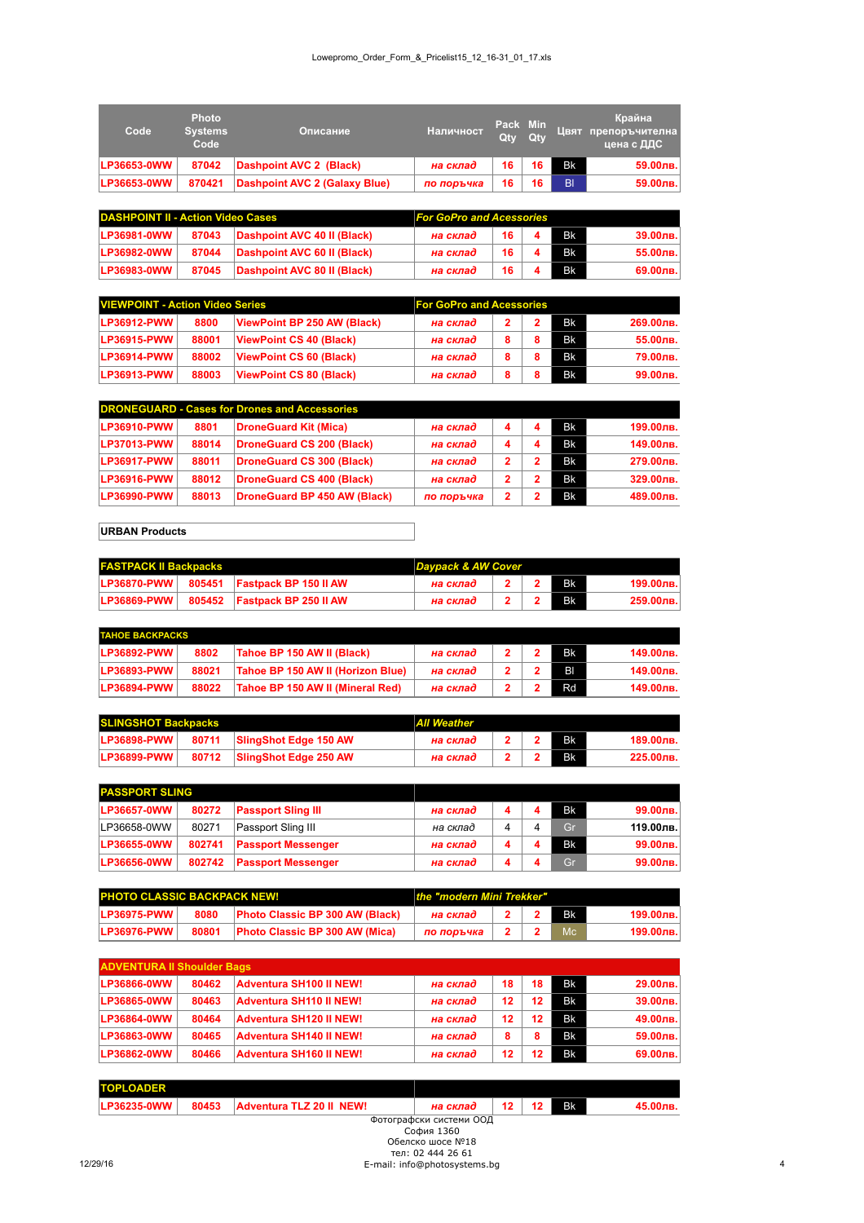| Code               | <b>Photo</b><br><b>Systems</b><br>Code | Описание                      | <b>Наличност</b> | Pack Min<br>Qty Qty |    |                | Крайна<br>Цвят препоръчителна,<br>цена с ДДС |
|--------------------|----------------------------------------|-------------------------------|------------------|---------------------|----|----------------|----------------------------------------------|
| <b>LP36653-0WW</b> | 87042                                  | Dashpoint AVC 2 (Black)       | на склад         | 16                  | 16 | Bk             | 59.00лв.                                     |
| LP36653-0WW        | 870421                                 | Dashpoint AVC 2 (Galaxy Blue) | по поръчка       | 16                  | 16 | B <sub>l</sub> | 59.00лв.                                     |

| <b>DASHPOINT II - Action Video Cases</b> |       | <b>For GoPro and Acessories</b> |          |        |  |           |          |
|------------------------------------------|-------|---------------------------------|----------|--------|--|-----------|----------|
| <b>LP36981-0WW</b>                       | 87043 | Dashpoint AVC 40 II (Black)     | на склад | $16-1$ |  | Bk        | 39.00лв. |
| LP36982-0WW                              | 87044 | Dashpoint AVC 60 II (Black)     | на склад | 16     |  | <b>Bk</b> | 55.00лв. |
| <b>LP36983-0WW</b>                       | 87045 | Dashpoint AVC 80 II (Black)     | на склад | 16.    |  | <b>Bk</b> | 69.00лв. |

| <b>VIEWPOINT - Action Video Series</b> |       | <b>For GoPro and Acessories</b> |          |  |  |           |           |
|----------------------------------------|-------|---------------------------------|----------|--|--|-----------|-----------|
| <b>LP36912-PWW</b>                     | 8800  | ViewPoint BP 250 AW (Black)     | на склад |  |  | <b>Bk</b> | 269.00лв. |
| <b>LP36915-PWW</b>                     | 88001 | ViewPoint CS 40 (Black)         | на склад |  |  | <b>Bk</b> | 55.00лв.  |
| <b>LP36914-PWW</b>                     | 88002 | ViewPoint CS 60 (Black)         | на склад |  |  | <b>Bk</b> | 79.00лв.  |
| <b>LP36913-PWW</b>                     | 88003 | ViewPoint CS 80 (Black)         | на склад |  |  | <b>Bk</b> | 99.00лв.  |

| <b>DRONEGUARD - Cases for Drones and Accessories</b> |       |                              |            |   |  |           |           |  |  |
|------------------------------------------------------|-------|------------------------------|------------|---|--|-----------|-----------|--|--|
| <b>LP36910-PWW</b>                                   | 8801  | <b>DroneGuard Kit (Mica)</b> | на склад   | 4 |  | <b>Bk</b> | 199.00лв. |  |  |
| <b>LP37013-PWW</b>                                   | 88014 | DroneGuard CS 200 (Black)    | на склад   | 4 |  | <b>Bk</b> | 149.00лв. |  |  |
| <b>LP36917-PWW</b>                                   | 88011 | DroneGuard CS 300 (Black)    | на склад   | 2 |  | <b>BK</b> | 279.00лв. |  |  |
| <b>LP36916-PWW</b>                                   | 88012 | DroneGuard CS 400 (Black)    | на склад   | 2 |  | <b>BK</b> | 329.00лв. |  |  |
| <b>LP36990-PWW</b>                                   | 88013 | DroneGuard BP 450 AW (Black) | по поръчка |   |  | Bk        | 489.00лв. |  |  |

**URBAN Products**

| <b>FASTPACK II Backpacks</b> |  | Daypack & AW Cover                           |          |  |  |  |              |  |
|------------------------------|--|----------------------------------------------|----------|--|--|--|--------------|--|
|                              |  | $ LP36870-PWW $ 805451 Fastpack BP 150 II AW | на склад |  |  |  | 199.00лв.    |  |
|                              |  | LP36869-PWW   805452   Fastpack BP 250 II AW | на склад |  |  |  | $259.00$ лв. |  |

| <b>TAHOE BACKPACKS</b> |       |                                   |          |  |  |                |           |  |  |
|------------------------|-------|-----------------------------------|----------|--|--|----------------|-----------|--|--|
| <b>LP36892-PWW</b>     | 8802  | Tahoe BP 150 AW II (Black)        | на склад |  |  | <b>Bk</b>      | 149.00лв. |  |  |
| <b>LP36893-PWW</b>     | 88021 | Tahoe BP 150 AW II (Horizon Blue) | на склад |  |  | B <sub>l</sub> | 149.00лв. |  |  |
| <b>LP36894-PWW</b>     | 88022 | Tahoe BP 150 AW II (Mineral Red)  | на склад |  |  | Rd             | 149.00лв. |  |  |

| <b>SLINGSHOT Backpacks</b> |  | All Weather                 |          |  |  |           |           |  |  |
|----------------------------|--|-----------------------------|----------|--|--|-----------|-----------|--|--|
| $ LP36898-PWW $            |  | 80711 SlingShot Edge 150 AW | на склад |  |  | <b>Bk</b> | 189.00лв. |  |  |
| $ LP36899-PWW $            |  | 80712 SlingShot Edge 250 AW | на склад |  |  |           | 225.00лв. |  |  |

| <b>PASSPORT SLING</b> |        |                           |          |   |           |           |
|-----------------------|--------|---------------------------|----------|---|-----------|-----------|
| LP36657-0WW           | 80272  | <b>Passport Sling III</b> | на склад |   | <b>Bk</b> | 99.00лв.  |
| LP36658-0WW           | 80271  | Passport Sling III        | на склад | 4 | Gr        | 119.00лв. |
| LP36655-0WW           | 802741 | <b>Passport Messenger</b> | на склад |   | <b>Bk</b> | 99.00лв.  |
| LP36656-0WW           | 802742 | <b>Passport Messenger</b> | на склад |   | Gr        | 99.00лв.  |

| <b>PHOTO CLASSIC BACKPACK NEW!</b> |       |                                        | the "modern Mini Trekker" |  |  |           |           |  |
|------------------------------------|-------|----------------------------------------|---------------------------|--|--|-----------|-----------|--|
| <b>LP36975-PWW</b>                 | 8080  | <b>Photo Classic BP 300 AW (Black)</b> | на склад                  |  |  |           | 199.00лв. |  |
| <b>LP36976-PWW</b>                 | 80801 | <b>Photo Classic BP 300 AW (Mica)</b>  | по поръчка                |  |  | <b>Mc</b> | 199.00лв. |  |

| <b>ADVENTURA II Shoulder Bags</b> |       |                         |          |    |    |           |             |  |
|-----------------------------------|-------|-------------------------|----------|----|----|-----------|-------------|--|
| <b>LP36866-0WW</b>                | 80462 | Adventura SH100 II NEW! | на склад | 18 | 18 | <b>Bk</b> | 29.00лв.    |  |
| <b>LP36865-0WW</b>                | 80463 | Adventura SH110 II NEW! | на склад | 12 | 12 | <b>Bk</b> | 39.00лв.    |  |
| <b>LP36864-0WW</b>                | 80464 | Adventura SH120 II NEW! | на склад | 12 | 12 | <b>Bk</b> | 49.00лв.    |  |
| <b>LP36863-0WW</b>                | 80465 | Adventura SH140 II NEW! | на склад |    | ឧ  | <b>Bk</b> | 59.00лв.    |  |
| <b>LP36862-0WW</b>                | 80466 | Adventura SH160 II NEW! | на склад | 12 | 12 | <b>Bk</b> | $69.00$ лв. |  |

| <b>PLOADER</b><br><b>TOF</b> |       |                                    |                      |  |           |  |
|------------------------------|-------|------------------------------------|----------------------|--|-----------|--|
| <b>LP36235-0WW</b>           | 80453 | TLZ 20 II NEW!<br><b>Adventura</b> | склас                |  | <b>Bk</b> |  |
|                              |       | . .                                | $\sim$ $\sim$ $\sim$ |  |           |  |